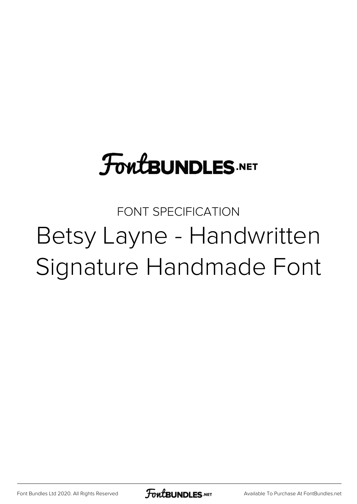## **FoutBUNDLES.NET**

## FONT SPECIFICATION Betsy Layne - Handwritten Signature Handmade Font

[Font Bundles Ltd 2020. All Rights Reserved](https://fontbundles.net/) **FoutBUNDLES.NET** [Available To Purchase At FontBundles.net](https://fontbundles.net/)

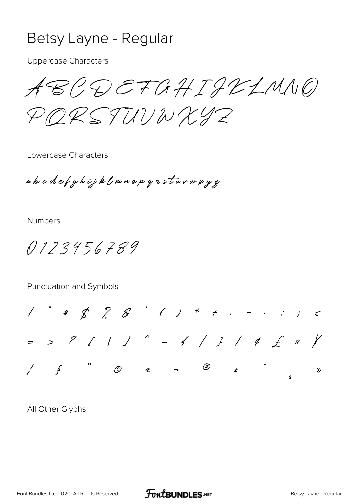## Betsy Layne - Regular

**Uppercase Characters** 

ABCDEFGHIJKLMNO PRRSTUUWXYZ

Lowercase Characters

abcdefghijklmnopgrsturwyy

**Numbers** 

0123456789

Punctuation and Symbols



All Other Glyphs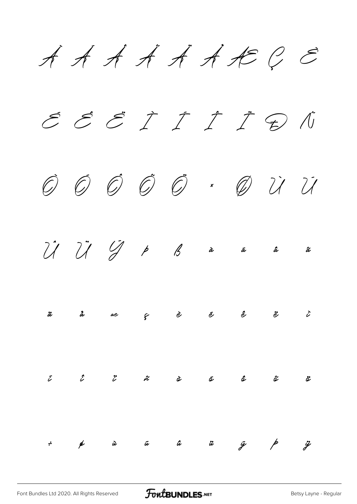$\cancel{A}$   $\cancel{A}$   $\cancel{A}$   $\cancel{A}$   $\cancel{A}$   $\cancel{A}$   $\cancel{A}$   $\cancel{A}$   $\cancel{B}$   $\cancel{C}$   $\cancel{C}$ 

É Ê Ë Ì Í Î Ï Ð Ñ Ò Ó Ô Õ Ö × Ø Ù Ú  $\hat{U}$   $\hat{U}$   $\hat{V}$   $\beta$   $\hat{\alpha}$   $\hat{\alpha}$   $\hat{\alpha}$   $\hat{\alpha}$ 



|  |  | $\begin{array}{ccccccccccccccccc} \tilde{c} & & \hat{c} & & \tilde{c} & & \tilde{\alpha} & & \hat{\alpha} & & \tilde{\alpha} & & \tilde{\alpha} & & \tilde{\alpha} & & \tilde{\alpha} & & \tilde{\alpha} & & \tilde{\alpha} & & \tilde{\alpha} & & \tilde{\alpha} & & \tilde{\alpha} & & \tilde{\alpha} & & \tilde{\alpha} & & \tilde{\alpha} & & \tilde{\alpha} & & \tilde{\alpha} & & \tilde{\alpha} & & \tilde{\alpha} & & \tilde{\alpha} & & \tilde{\alpha} & & \tilde{\alpha} & & \tilde{\alpha} & & \tilde{\alpha} & & \tilde$ |  |  |
|--|--|--------------------------------------------------------------------------------------------------------------------------------------------------------------------------------------------------------------------------------------------------------------------------------------------------------------------------------------------------------------------------------------------------------------------------------------------------------------------------------------------------------------------------------------|--|--|
|  |  |                                                                                                                                                                                                                                                                                                                                                                                                                                                                                                                                      |  |  |
|  |  | $\div$ a $\omega$ a $\omega$ a $\omega$ $\omega$ b $\omega$                                                                                                                                                                                                                                                                                                                                                                                                                                                                          |  |  |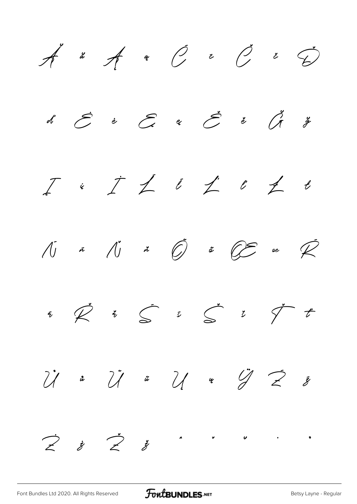